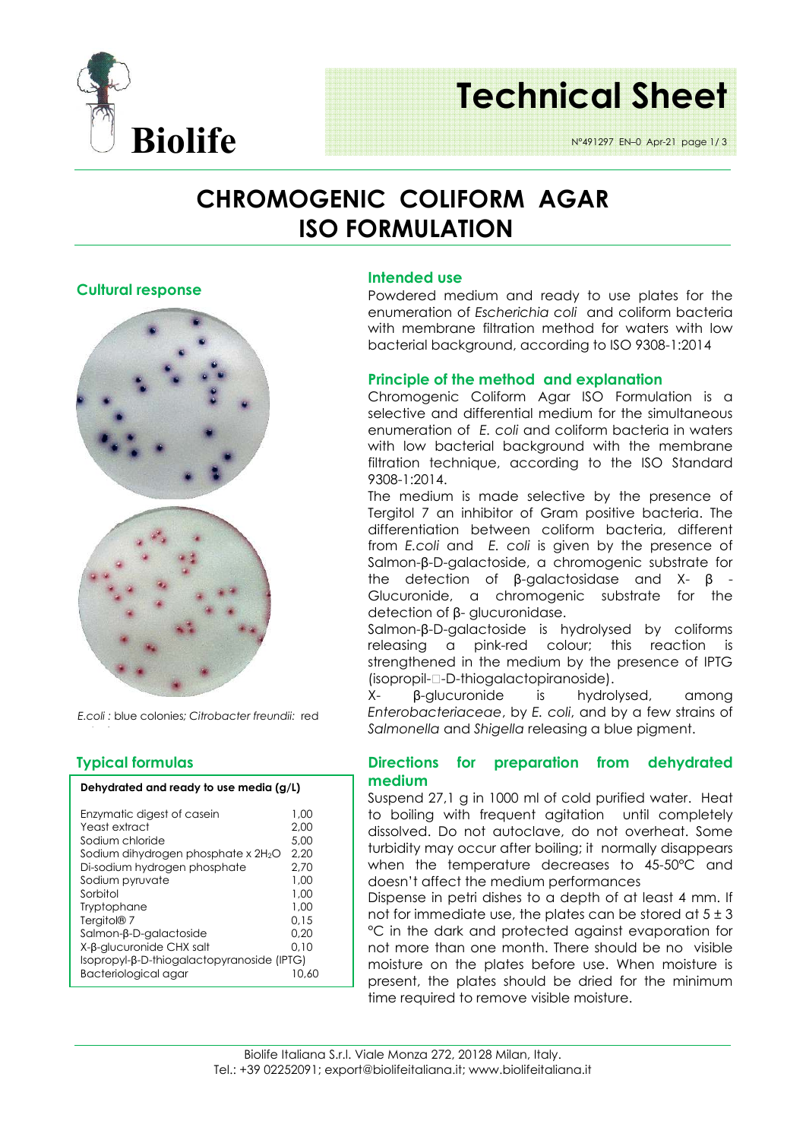

# **Technical Sheet**

N°491297 EN–0 Apr-21 page 1/ 3

### **CHROMOGENIC COLIFORM AGAR ISO FORMULATION**

**Intended use**

**Cultural response** 



*E.coli :* blue colonies*; Citrobacter freundii:* red

#### **Typical formulas**

Bacteriological agar

| Dehydrated and ready to use media (g/L) |      |  |  |  |  |  |
|-----------------------------------------|------|--|--|--|--|--|
| Enzymatic digest of casein              | 1.00 |  |  |  |  |  |
| Yeast extract                           | 2.00 |  |  |  |  |  |
| Sodium chloride                         | 5.00 |  |  |  |  |  |
| Sodium dihydrogen phosphate x $2H_2O$   | 2.20 |  |  |  |  |  |
| Di-sodium hydrogen phosphate            | 2.70 |  |  |  |  |  |
| Sodium pyruvate                         | 1.00 |  |  |  |  |  |
| Sorbitol                                | 1.00 |  |  |  |  |  |
| Tryptophane                             | 1.00 |  |  |  |  |  |
| Tergitol <sup>®</sup> 7                 | 0.15 |  |  |  |  |  |
| Salmon-β-D-galactoside                  | 0.20 |  |  |  |  |  |
| X-β-glucuronide CHX salt                | 0.10 |  |  |  |  |  |

Isopropyl-β-D-thiogalactopyranoside (IPTG)

#### enumeration of *E. coli* and coliform bacteria in waters with low bacterial background with the membrane filtration technique, according to the ISO Standard 9308-1:2014.

The medium is made selective by the presence of Tergitol 7 an inhibitor of Gram positive bacteria. The differentiation between coliform bacteria, different from *E.coli* and *E. coli* is given by the presence of Salmon-β-D-galactoside, a chromogenic substrate for the detection of β-galactosidase and X- β - Glucuronide, a chromogenic substrate for the detection of β- glucuronidase.

Powdered medium and ready to use plates for the enumeration of *Escherichia coli* and coliform bacteria with membrane filtration method for waters with low bacterial background, according to ISO 9308-1:2014

Chromogenic Coliform Agar ISO Formulation is a selective and differential medium for the simultaneous

**Principle of the method and explanation** 

Salmon-β-D-galactoside is hydrolysed by coliforms releasing a pink-red colour; this reaction is strengthened in the medium by the presence of IPTG (isopropil--D-thiogalactopiranoside).

X- β-glucuronide is hydrolysed, among *Enterobacteriaceae*, by *E. coli*, and by a few strains of *Salmonella* and *Shigella* releasing a blue pigment.

#### **Directions for preparation from dehydrated medium**

Suspend 27,1 g in 1000 ml of cold purified water. Heat to boiling with frequent agitation until completely dissolved. Do not autoclave, do not overheat. Some turbidity may occur after boiling; it normally disappears when the temperature decreases to 45-50°C and doesn't affect the medium performances

Dispense in petri dishes to a depth of at least 4 mm. If not for immediate use, the plates can be stored at  $5 \pm 3$ °C in the dark and protected against evaporation for not more than one month. There should be no visible moisture on the plates before use. When moisture is present, the plates should be dried for the minimum time required to remove visible moisture.

#### Biolife Italiana S.r.l. Viale Monza 272, 20128 Milan, Italy. Tel.: +39 02252091; export@biolifeitaliana.it; www.biolifeitaliana.it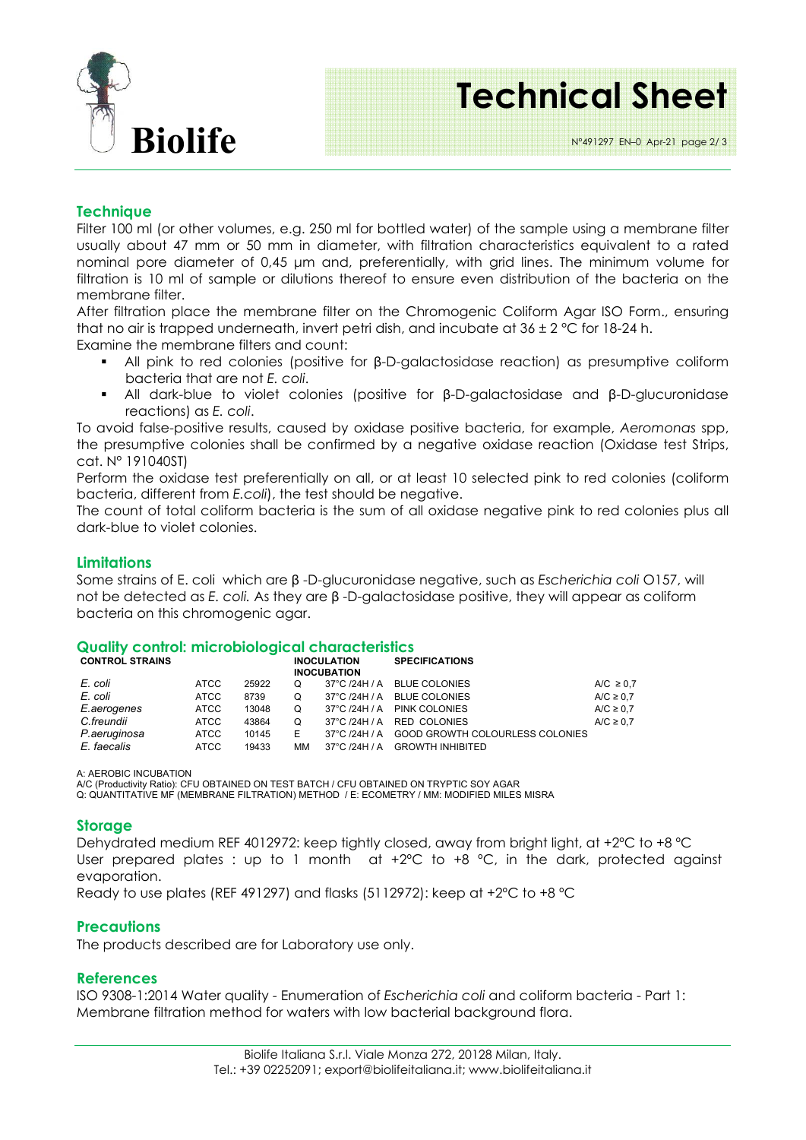

# **Technical Sheet**

N°491297 EN–0 Apr-21 page 2/ 3

#### **Technique**

Filter 100 ml (or other volumes, e.g. 250 ml for bottled water) of the sample using a membrane filter usually about 47 mm or 50 mm in diameter, with filtration characteristics equivalent to a rated nominal pore diameter of 0,45 µm and, preferentially, with grid lines. The minimum volume for filtration is 10 ml of sample or dilutions thereof to ensure even distribution of the bacteria on the membrane filter.

After filtration place the membrane filter on the Chromogenic Coliform Agar ISO Form., ensuring that no air is trapped underneath, invert petri dish, and incubate at  $36 \pm 2$  °C for 18-24 h.

Examine the membrane filters and count:

- All pink to red colonies (positive for β-D-galactosidase reaction) as presumptive coliform bacteria that are not *E. coli*.
- All dark-blue to violet colonies (positive for β-D-galactosidase and β-D-glucuronidase reactions) as *E. coli*.

To avoid false-positive results, caused by oxidase positive bacteria, for example, *Aeromonas* spp, the presumptive colonies shall be confirmed by a negative oxidase reaction (Oxidase test Strips, cat. N° 191040ST)

Perform the oxidase test preferentially on all, or at least 10 selected pink to red colonies (coliform bacteria, different from *E.coli*), the test should be negative.

The count of total coliform bacteria is the sum of all oxidase negative pink to red colonies plus all dark-blue to violet colonies.

#### **Limitations**

Some strains of E. coli which are β -D-glucuronidase negative, such as *Escherichia coli* O157, will not be detected as *E. coli.* As they are β -D-galactosidase positive, they will appear as coliform bacteria on this chromogenic agar.

#### **Quality control: microbiological characteristics**

| <b>CONTROL STRAINS</b> |             |       | <b>INOCULATION</b><br><b>INOCUBATION</b> |               | <b>SPECIFICATIONS</b>           |                |
|------------------------|-------------|-------|------------------------------------------|---------------|---------------------------------|----------------|
| E. coli                | <b>ATCC</b> | 25922 | O                                        |               | 37°C /24H / A BLUE COLONIES     | A/C $\geq$ 0.7 |
| E. coli                | <b>ATCC</b> | 8739  | O                                        |               | 37°C /24H / A BLUE COLONIES     | A/C $\geq$ 0.7 |
| E.aerogenes            | ATCC        | 13048 | O                                        |               | 37°C /24H / A PINK COLONIES     | A/C $\geq$ 0.7 |
| C.freundii             | ATCC        | 43864 | O                                        |               | 37°C /24H / A RED COLONIES      | A/C $\geq$ 0.7 |
| P.aeruginosa           | <b>ATCC</b> | 10145 | Е                                        | 37°C /24H / A | GOOD GROWTH COLOURLESS COLONIES |                |
| E. faecalis            | ATCC        | 19433 | ΜМ                                       |               | 37°C /24H / A GROWTH INHIBITED  |                |

A: AEROBIC INCUBATION

A/C (Productivity Ratio): CFU OBTAINED ON TEST BATCH / CFU OBTAINED ON TRYPTIC SOY AGAR

Q: QUANTITATIVE MF (MEMBRANE FILTRATION) METHOD / E: ECOMETRY / MM: MODIFIED MILES MISRA

#### **Storage**

Dehydrated medium REF 4012972: keep tightly closed, away from bright light, at +2°C to +8 °C User prepared plates : up to 1 month at  $+2^{\circ}C$  to  $+8$  °C, in the dark, protected against evaporation.

Ready to use plates (REF 491297) and flasks (5112972): keep at +2ºC to +8 ºC

#### **Precautions**

The products described are for Laboratory use only.

#### **References**

ISO 9308-1:2014 Water quality - Enumeration of *Escherichia coli* and coliform bacteria - Part 1: Membrane filtration method for waters with low bacterial background flora.